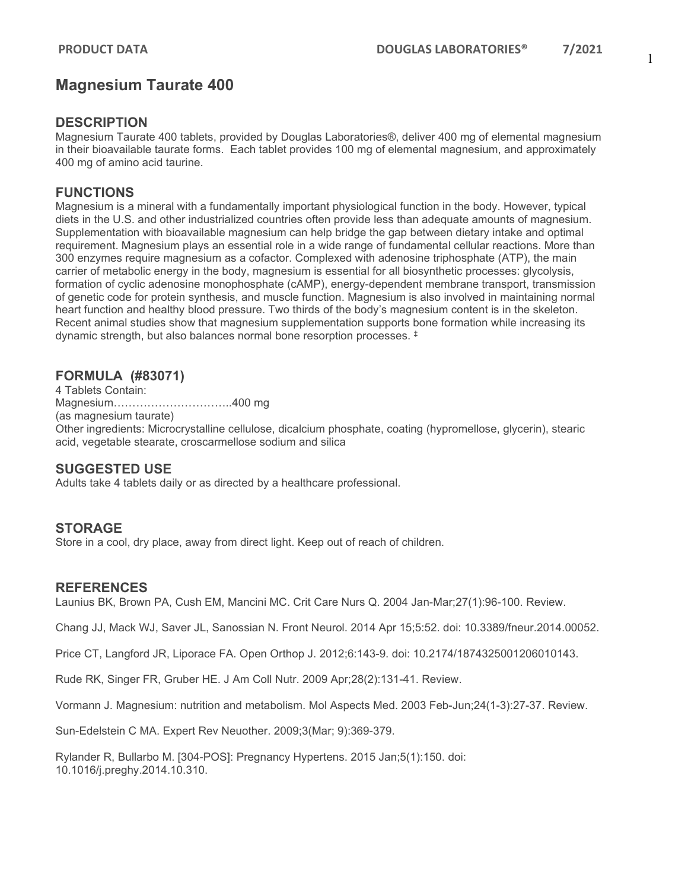## **Magnesium Taurate 400**

## **DESCRIPTION**

Magnesium Taurate 400 tablets, provided by Douglas Laboratories®, deliver 400 mg of elemental magnesium in their bioavailable taurate forms. Each tablet provides 100 mg of elemental magnesium, and approximately 400 mg of amino acid taurine.

## **FUNCTIONS**

Magnesium is a mineral with a fundamentally important physiological function in the body. However, typical diets in the U.S. and other industrialized countries often provide less than adequate amounts of magnesium. Supplementation with bioavailable magnesium can help bridge the gap between dietary intake and optimal requirement. Magnesium plays an essential role in a wide range of fundamental cellular reactions. More than 300 enzymes require magnesium as a cofactor. Complexed with adenosine triphosphate (ATP), the main carrier of metabolic energy in the body, magnesium is essential for all biosynthetic processes: glycolysis, formation of cyclic adenosine monophosphate (cAMP), energy-dependent membrane transport, transmission of genetic code for protein synthesis, and muscle function. Magnesium is also involved in maintaining normal heart function and healthy blood pressure. Two thirds of the body's magnesium content is in the skeleton. Recent animal studies show that magnesium supplementation supports bone formation while increasing its dynamic strength, but also balances normal bone resorption processes. ‡

## **FORMULA (#83071)**

4 Tablets Contain: Magnesium…………………………..400 mg (as magnesium taurate) Other ingredients: Microcrystalline cellulose, dicalcium phosphate, coating (hypromellose, glycerin), stearic acid, vegetable stearate, croscarmellose sodium and silica

## **SUGGESTED USE**

Adults take 4 tablets daily or as directed by a healthcare professional.

### **STORAGE**

Store in a cool, dry place, away from direct light. Keep out of reach of children.

### **REFERENCES**

Launius BK, Brown PA, Cush EM, Mancini MC. Crit Care Nurs Q. 2004 Jan-Mar;27(1):96-100. Review.

Chang JJ, Mack WJ, Saver JL, Sanossian N. Front Neurol. 2014 Apr 15;5:52. doi: 10.3389/fneur.2014.00052.

Price CT, Langford JR, Liporace FA. Open Orthop J. 2012;6:143-9. doi: 10.2174/1874325001206010143.

Rude RK, Singer FR, Gruber HE. J Am Coll Nutr. 2009 Apr;28(2):131-41. Review.

Vormann J. Magnesium: nutrition and metabolism. Mol Aspects Med. 2003 Feb-Jun;24(1-3):27-37. Review.

Sun-Edelstein C MA. Expert Rev Neuother. 2009;3(Mar; 9):369-379.

Rylander R, Bullarbo M. [304-POS]: Pregnancy Hypertens. 2015 Jan;5(1):150. doi: 10.1016/j.preghy.2014.10.310.